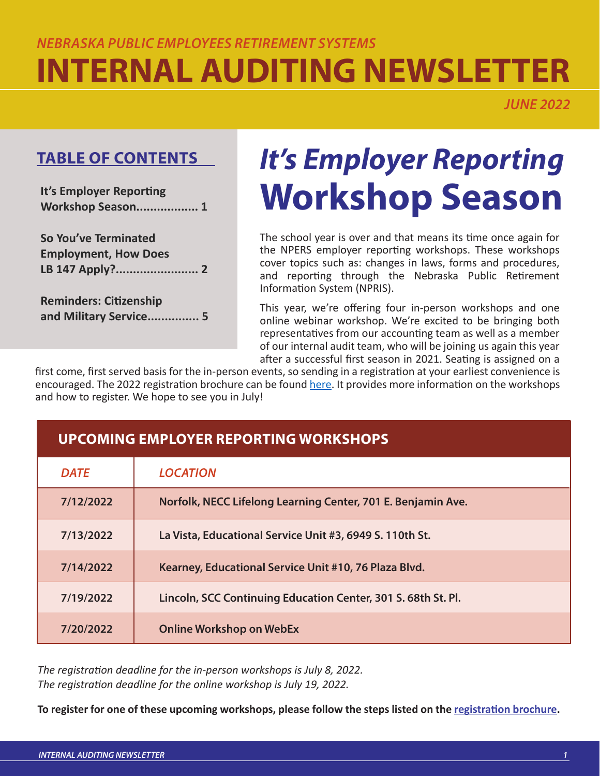# *NEBRASKA PUBLIC EMPLOYEES RETIREMENT SYSTEMS* **INTERNAL AUDITING NEWSLETTER**

*JUNE 2022*

## **TABLE OF CONTENTS**

**It's Employer Reporting Workshop Season.................. 1**

**So You've Terminated Employment, How Does LB 147 Apply?........................ 2**

**Reminders: Citizenship and Military Service............... 5**

# *It's Employer Reporting*  **Workshop Season**

The school year is over and that means its time once again for the NPERS employer reporting workshops. These workshops cover topics such as: changes in laws, forms and procedures, and reporting through the Nebraska Public Retirement Information System (NPRIS).

This year, we're offering four in-person workshops and one online webinar workshop. We're excited to be bringing both representatives from our accounting team as well as a member of our internal audit team, who will be joining us again this year after a successful first season in 2021. Seating is assigned on a

first come, first served basis for the in-person events, so sending in a registration at your earliest convenience is encouraged. The 2022 registration brochure can be found [here](https://npers.ne.gov/SelfService/public/documentation/employerReporting/school/SCEmpWorkshop2022.pdf). It provides more information on the workshops and how to register. We hope to see you in July!

| <b>DATE</b> | <b>LOCATION</b>                                               |
|-------------|---------------------------------------------------------------|
| 7/12/2022   | Norfolk, NECC Lifelong Learning Center, 701 E. Benjamin Ave.  |
| 7/13/2022   | La Vista, Educational Service Unit #3, 6949 S. 110th St.      |
| 7/14/2022   | Kearney, Educational Service Unit #10, 76 Plaza Blvd.         |
| 7/19/2022   | Lincoln, SCC Continuing Education Center, 301 S. 68th St. Pl. |
| 7/20/2022   | <b>Online Workshop on WebEx</b>                               |

*The registration deadline for the in-person workshops is July 8, 2022. The registration deadline for the online workshop is July 19, 2022.*

**UPCOMING EMPLOYER REPORTING WORKSHOPS**

**To register for one of these upcoming workshops, please follow the steps listed on the [registration brochure.](https://npers.ne.gov/SelfService/public/documentation/employerReporting/school/SCEmpWorkshop2022.pdf)**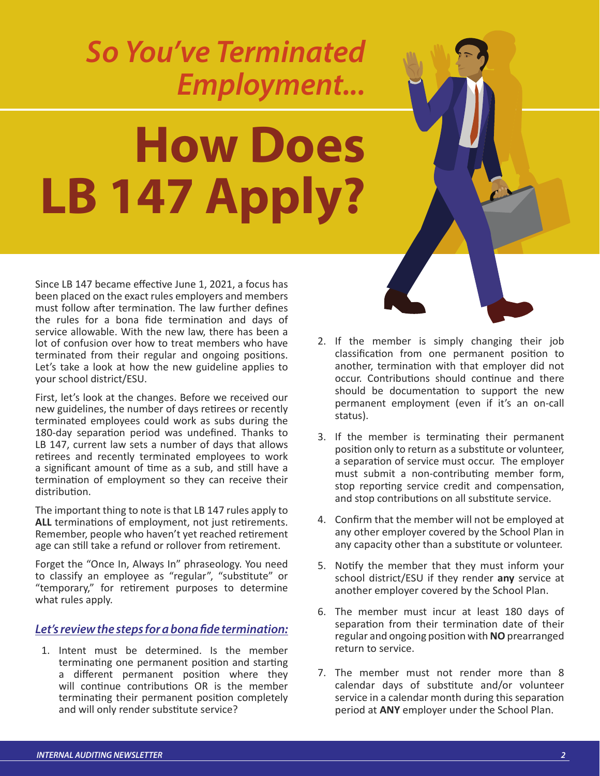# *So You've Terminated Employment...*

# **How Does LB 147 Apply?**

Since LB 147 became effective June 1, 2021, a focus has been placed on the exact rules employers and members must follow after termination. The law further defines the rules for a bona fide termination and days of service allowable. With the new law, there has been a lot of confusion over how to treat members who have terminated from their regular and ongoing positions. Let's take a look at how the new guideline applies to your school district/ESU.

First, let's look at the changes. Before we received our new guidelines, the number of days retirees or recently terminated employees could work as subs during the 180-day separation period was undefined. Thanks to LB 147, current law sets a number of days that allows retirees and recently terminated employees to work a significant amount of time as a sub, and still have a termination of employment so they can receive their distribution.

The important thing to note is that LB 147 rules apply to **ALL** terminations of employment, not just retirements. Remember, people who haven't yet reached retirement age can still take a refund or rollover from retirement.

Forget the "Once In, Always In" phraseology. You need to classify an employee as "regular", "substitute" or "temporary," for retirement purposes to determine what rules apply.

#### *Let's review the steps for a bona fide termination:*

1. Intent must be determined. Is the member terminating one permanent position and starting a different permanent position where they will continue contributions OR is the member terminating their permanent position completely and will only render substitute service?

- 2. If the member is simply changing their job classification from one permanent position to another, termination with that employer did not occur. Contributions should continue and there should be documentation to support the new permanent employment (even if it's an on-call status).
- 3. If the member is terminating their permanent position only to return as a substitute or volunteer, a separation of service must occur. The employer must submit a non-contributing member form, stop reporting service credit and compensation, and stop contributions on all substitute service.
- 4. Confirm that the member will not be employed at any other employer covered by the School Plan in any capacity other than a substitute or volunteer.
- 5. Notify the member that they must inform your school district/ESU if they render **any** service at another employer covered by the School Plan.
- 6. The member must incur at least 180 days of separation from their termination date of their regular and ongoing position with **NO** prearranged return to service.
- 7. The member must not render more than 8 calendar days of substitute and/or volunteer service in a calendar month during this separation period at **ANY** employer under the School Plan.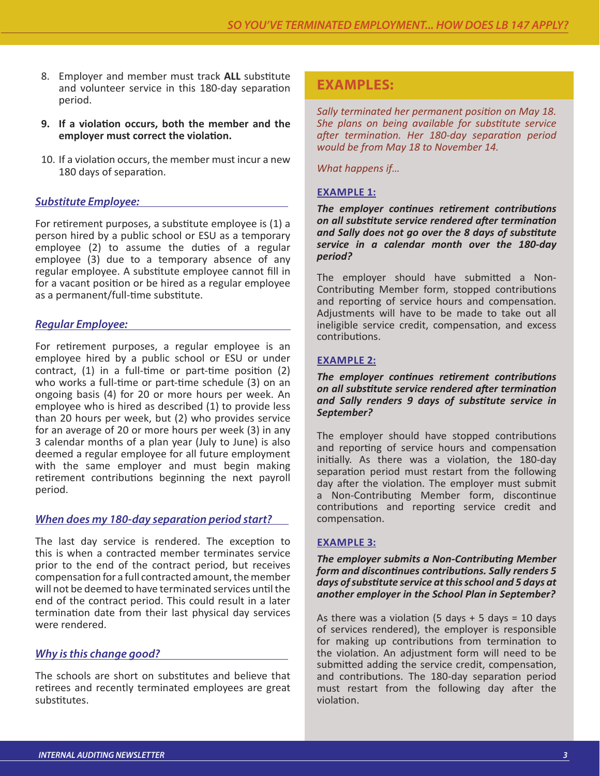- 8. Employer and member must track **ALL** substitute and volunteer service in this 180-day separation period.
- **9. If a violation occurs, both the member and the employer must correct the violation.**
- 10. If a violation occurs, the member must incur a new 180 days of separation.

#### *Substitute Employee:*

For retirement purposes, a substitute employee is (1) a person hired by a public school or ESU as a temporary employee (2) to assume the duties of a regular employee (3) due to a temporary absence of any regular employee. A substitute employee cannot fill in for a vacant position or be hired as a regular employee as a permanent/full-time substitute.

#### *Regular Employee:*

For retirement purposes, a regular employee is an employee hired by a public school or ESU or under contract, (1) in a full-time or part-time position (2) who works a full-time or part-time schedule (3) on an ongoing basis (4) for 20 or more hours per week. An employee who is hired as described (1) to provide less than 20 hours per week, but (2) who provides service for an average of 20 or more hours per week (3) in any 3 calendar months of a plan year (July to June) is also deemed a regular employee for all future employment with the same employer and must begin making retirement contributions beginning the next payroll period.

#### *When does my 180-day separation period start?*

The last day service is rendered. The exception to this is when a contracted member terminates service prior to the end of the contract period, but receives compensation for a full contracted amount, the member will not be deemed to have terminated services until the end of the contract period. This could result in a later termination date from their last physical day services were rendered.

#### *Why is this change good?*

The schools are short on substitutes and believe that retirees and recently terminated employees are great substitutes.

### **EXAMPLES:**

*Sally terminated her permanent position on May 18. She plans on being available for substitute service after termination. Her 180-day separation period would be from May 18 to November 14.* 

*What happens if…* 

#### **EXAMPLE 1:**

*The employer continues retirement contributions on all substitute service rendered after termination and Sally does not go over the 8 days of substitute service in a calendar month over the 180-day period?*

The employer should have submitted a Non-Contributing Member form, stopped contributions and reporting of service hours and compensation. Adjustments will have to be made to take out all ineligible service credit, compensation, and excess contributions.

#### **EXAMPLE 2:**

*The employer continues retirement contributions on all substitute service rendered after termination and Sally renders 9 days of substitute service in September?*

The employer should have stopped contributions and reporting of service hours and compensation initially. As there was a violation, the 180-day separation period must restart from the following day after the violation. The employer must submit a Non-Contributing Member form, discontinue contributions and reporting service credit and compensation.

#### **EXAMPLE 3:**

*The employer submits a Non-Contributing Member form and discontinues contributions. Sally renders 5 days of substitute service at this school and 5 days at another employer in the School Plan in September?* 

As there was a violation (5 days  $+$  5 days = 10 days of services rendered), the employer is responsible for making up contributions from termination to the violation. An adjustment form will need to be submitted adding the service credit, compensation, and contributions. The 180-day separation period must restart from the following day after the violation.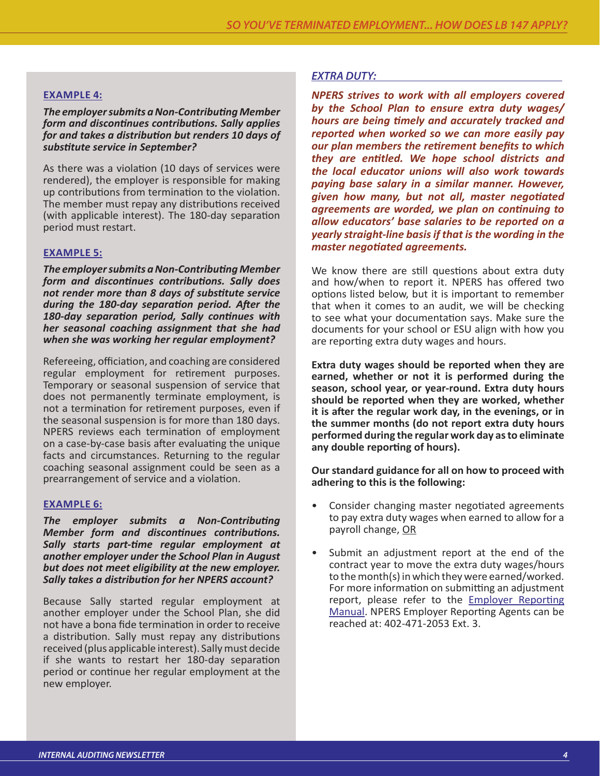#### **EXAMPLE 4:**

*The employer submits a Non-Contributing Member form and discontinues contributions. Sally applies for and takes a distribution but renders 10 days of substitute service in September?*

As there was a violation (10 days of services were rendered), the employer is responsible for making up contributions from termination to the violation. The member must repay any distributions received (with applicable interest). The 180-day separation period must restart.

#### **EXAMPLE 5:**

*The employer submits a Non-Contributing Member form and discontinues contributions. Sally does not render more than 8 days of substitute service during the 180-day separation period. After the 180-day separation period, Sally continues with her seasonal coaching assignment that she had when she was working her regular employment?*

Refereeing, officiation, and coaching are considered regular employment for retirement purposes. Temporary or seasonal suspension of service that does not permanently terminate employment, is not a termination for retirement purposes, even if the seasonal suspension is for more than 180 days. NPERS reviews each termination of employment on a case-by-case basis after evaluating the unique facts and circumstances. Returning to the regular coaching seasonal assignment could be seen as a prearrangement of service and a violation.

#### **EXAMPLE 6:**

*The employer submits a Non-Contributing Member form and discontinues contributions. Sally starts part-time regular employment at another employer under the School Plan in August but does not meet eligibility at the new employer. Sally takes a distribution for her NPERS account?*

Because Sally started regular employment at another employer under the School Plan, she did not have a bona fide termination in order to receive a distribution. Sally must repay any distributions received (plus applicable interest). Sally must decide if she wants to restart her 180-day separation period or continue her regular employment at the new employer.

#### *EXTRA DUTY:*

*NPERS strives to work with all employers covered by the School Plan to ensure extra duty wages/ hours are being timely and accurately tracked and reported when worked so we can more easily pay our plan members the retirement benefits to which they are entitled. We hope school districts and the local educator unions will also work towards paying base salary in a similar manner. However, given how many, but not all, master negotiated agreements are worded, we plan on continuing to allow educators' base salaries to be reported on a yearly straight-line basis if that is the wording in the master negotiated agreements.* 

We know there are still questions about extra duty and how/when to report it. NPERS has offered two options listed below, but it is important to remember that when it comes to an audit, we will be checking to see what your documentation says. Make sure the documents for your school or ESU align with how you are reporting extra duty wages and hours.

**Extra duty wages should be reported when they are earned, whether or not it is performed during the season, school year, or year-round. Extra duty hours should be reported when they are worked, whether it is after the regular work day, in the evenings, or in the summer months (do not report extra duty hours performed during the regular work day as to eliminate any double reporting of hours).** 

#### **Our standard guidance for all on how to proceed with adhering to this is the following:**

- Consider changing master negotiated agreements to pay extra duty wages when earned to allow for a payroll change, OR
- Submit an adjustment report at the end of the contract year to move the extra duty wages/hours to the month(s) in which they were earned/worked. For more information on submitting an adjustment report, please refer to the **Employer Reporting** [Manual](https://npers.ne.gov/SelfService/public/documentation/employerReporting/school/SchoolERMan.pdf). NPERS Employer Reporting Agents can be reached at: 402-471-2053 Ext. 3.